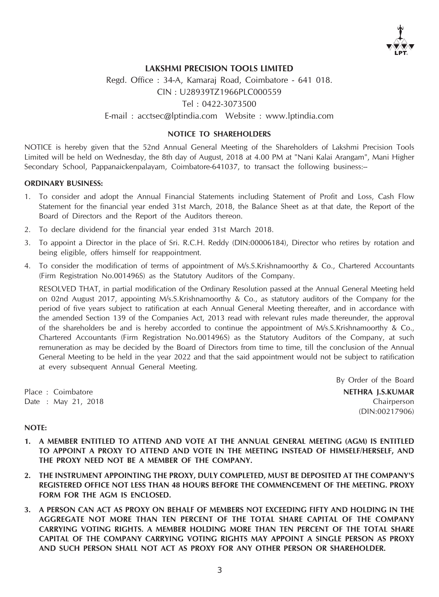

### LAKSHMI PRECISION TOOLS LIMITED

Regd. Office : 34-A, Kamaraj Road, Coimbatore - 641 018. CIN : U28939TZ1966PLC000559 Tel : 0422-3073500 E-mail : acctsec@lptindia.com Website : www.lptindia.com

### NOTICE TO SHAREHOLDERS

NOTICE is hereby given that the 52nd Annual General Meeting of the Shareholders of Lakshmi Precision Tools Limited will be held on Wednesday, the 8th day of August, 2018 at 4.00 PM at "Nani Kalai Arangam", Mani Higher Secondary School, Pappanaickenpalayam, Coimbatore-641037, to transact the following business:--

### ORDINARY BUSINESS:

- 1. To consider and adopt the Annual Financial Statements including Statement of Profit and Loss, Cash Flow Statement for the financial year ended 31st March, 2018, the Balance Sheet as at that date, the Report of the Board of Directors and the Report of the Auditors thereon.
- 2. To declare dividend for the financial year ended 31st March 2018.
- 3. To appoint a Director in the place of Sri. R.C.H. Reddy (DIN:00006184), Director who retires by rotation and being eligible, offers himself for reappointment.
- 4. To consider the modification of terms of appointment of M/s.S.Krishnamoorthy & Co., Chartered Accountants (Firm Registration No.001496S) as the Statutory Auditors of the Company.

RESOLVED THAT, in partial modification of the Ordinary Resolution passed at the Annual General Meeting held on 02nd August 2017, appointing M/s.S.Krishnamoorthy & Co., as statutory auditors of the Company for the period of five years subject to ratification at each Annual General Meeting thereafter, and in accordance with the amended Section 139 of the Companies Act, 2013 read with relevant rules made thereunder, the approval of the shareholders be and is hereby accorded to continue the appointment of M/s.S.Krishnamoorthy & Co., Chartered Accountants (Firm Registration No.001496S) as the Statutory Auditors of the Company, at such remuneration as may be decided by the Board of Directors from time to time, till the conclusion of the Annual General Meeting to be held in the year 2022 and that the said appointment would not be subject to ratification at every subsequent Annual General Meeting.

By Order of the Board Place : Coimbatore **NETHRA I.S.KUMAR** Date : May 21, 2018 Chairperson (DIN:00217906)

### NOTE:

- 1. A MEMBER ENTITLED TO ATTEND AND VOTE AT THE ANNUAL GENERAL MEETING (AGM) IS ENTITLED TO APPOINT A PROXY TO ATTEND AND VOTE IN THE MEETING INSTEAD OF HIMSELF/HERSELF, AND THE PROXY NEED NOT BE A MEMBER OF THE COMPANY.
- 2. THE INSTRUMENT APPOINTING THE PROXY, DULY COMPLETED, MUST BE DEPOSITED AT THE COMPANY'S REGISTERED OFFICE NOT LESS THAN 48 HOURS BEFORE THE COMMENCEMENT OF THE MEETING. PROXY FORM FOR THE AGM IS ENCLOSED.
- 3. A PERSON CAN ACT AS PROXY ON BEHALF OF MEMBERS NOT EXCEEDING FIFTY AND HOLDING IN THE AGGREGATE NOT MORE THAN TEN PERCENT OF THE TOTAL SHARE CAPITAL OF THE COMPANY CARRYING VOTING RIGHTS. A MEMBER HOLDING MORE THAN TEN PERCENT OF THE TOTAL SHARE CAPITAL OF THE COMPANY CARRYING VOTING RIGHTS MAY APPOINT A SINGLE PERSON AS PROXY AND SUCH PERSON SHALL NOT ACT AS PROXY FOR ANY OTHER PERSON OR SHAREHOLDER.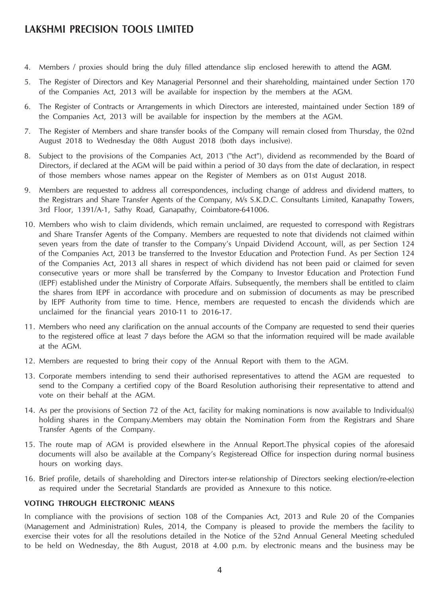## LAKSHMI PRECISION TOOLS LIMITED

- 4. Members / proxies should bring the duly filled attendance slip enclosed herewith to attend the AGM.
- 5. The Register of Directors and Key Managerial Personnel and their shareholding, maintained under Section 170 of the Companies Act, 2013 will be available for inspection by the members at the AGM.
- 6. The Register of Contracts or Arrangements in which Directors are interested, maintained under Section 189 of the Companies Act, 2013 will be available for inspection by the members at the AGM.
- 7. The Register of Members and share transfer books of the Company will remain closed from Thursday, the 02nd August 2018 to Wednesday the 08th August 2018 (both days inclusive).
- 8. Subject to the provisions of the Companies Act, 2013 ("the Act"), dividend as recommended by the Board of Directors, if declared at the AGM will be paid within a period of 30 days from the date of declaration, in respect of those members whose names appear on the Register of Members as on 01st August 2018.
- 9. Members are requested to address all correspondences, including change of address and dividend matters, to the Registrars and Share Transfer Agents of the Company, M/s S.K.D.C. Consultants Limited, Kanapathy Towers, 3rd Floor, 1391/A-1, Sathy Road, Ganapathy, Coimbatore-641006.
- 10. Members who wish to claim dividends, which remain unclaimed, are requested to correspond with Registrars and Share Transfer Agents of the Company. Members are requested to note that dividends not claimed within seven years from the date of transfer to the Company's Unpaid Dividend Account, will, as per Section 124 of the Companies Act, 2013 be transferred to the Investor Education and Protection Fund. As per Section 124 of the Companies Act, 2013 all shares in respect of which dividend has not been paid or claimed for seven consecutive years or more shall be transferred by the Company to Investor Education and Protection Fund (IEPF) established under the Ministry of Corporate Affairs. Subsequently, the members shall be entitled to claim the shares from IEPF in accordance with procedure and on submission of documents as may be prescribed by IEPF Authority from time to time. Hence, members are requested to encash the dividends which are unclaimed for the financial years 2010-11 to 2016-17.
- 11. Members who need any clarification on the annual accounts of the Company are requested to send their queries to the registered office at least 7 days before the AGM so that the information required will be made available at the AGM.
- 12. Members are requested to bring their copy of the Annual Report with them to the AGM.
- 13. Corporate members intending to send their authorised representatives to attend the AGM are requested to send to the Company a certified copy of the Board Resolution authorising their representative to attend and vote on their behalf at the AGM.
- 14. As per the provisions of Section 72 of the Act, facility for making nominations is now available to Individual(s) holding shares in the Company.Members may obtain the Nomination Form from the Registrars and Share Transfer Agents of the Company.
- 15. The route map of AGM is provided elsewhere in the Annual Report.The physical copies of the aforesaid documents will also be available at the Company's Registeread Office for inspection during normal business hours on working days.
- 16. Brief profile, details of shareholding and Directors inter-se relationship of Directors seeking election/re-election as required under the Secretarial Standards are provided as Annexure to this notice.

### VOTING THROUGH ELECTRONIC MEANS

In compliance with the provisions of section 108 of the Companies Act, 2013 and Rule 20 of the Companies (Management and Administration) Rules, 2014, the Company is pleased to provide the members the facility to exercise their votes for all the resolutions detailed in the Notice of the 52nd Annual General Meeting scheduled to be held on Wednesday, the 8th August, 2018 at 4.00 p.m. by electronic means and the business may be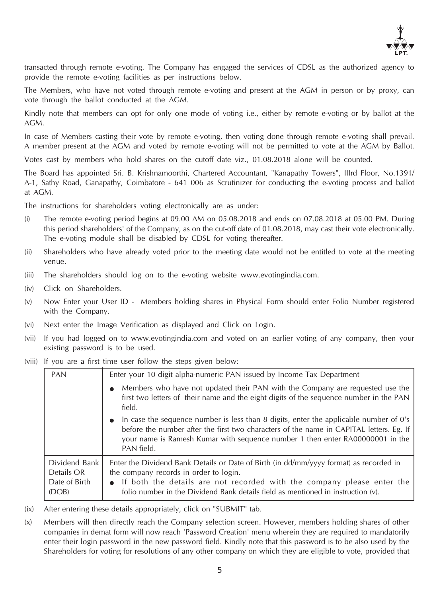

transacted through remote e-voting. The Company has engaged the services of CDSL as the authorized agency to provide the remote e-voting facilities as per instructions below.

The Members, who have not voted through remote e-voting and present at the AGM in person or by proxy, can vote through the ballot conducted at the AGM.

Kindly note that members can opt for only one mode of voting i.e., either by remote e-voting or by ballot at the AGM.

In case of Members casting their vote by remote e-voting, then voting done through remote e-voting shall prevail. A member present at the AGM and voted by remote e-voting will not be permitted to vote at the AGM by Ballot.

Votes cast by members who hold shares on the cutoff date viz., 01.08.2018 alone will be counted.

The Board has appointed Sri. B. Krishnamoorthi, Chartered Accountant, "Kanapathy Towers", IIIrd Floor, No.1391/ A-1, Sathy Road, Ganapathy, Coimbatore - 641 006 as Scrutinizer for conducting the e-voting process and ballot at AGM.

The instructions for shareholders voting electronically are as under:

- (i) The remote e-voting period begins at 09.00 AM on 05.08.2018 and ends on 07.08.2018 at 05.00 PM. During this period shareholders' of the Company, as on the cut-off date of 01.08.2018, may cast their vote electronically. The e-voting module shall be disabled by CDSL for voting thereafter.
- (ii) Shareholders who have already voted prior to the meeting date would not be entitled to vote at the meeting venue.
- (iii) The shareholders should log on to the e-voting website www.evotingindia.com.
- (iv) Click on Shareholders.
- (v) Now Enter your User ID Members holding shares in Physical Form should enter Folio Number registered with the Company.
- (vi) Next enter the Image Verification as displayed and Click on Login.
- (vii) If you had logged on to www.evotingindia.com and voted on an earlier voting of any company, then your existing password is to be used.
- (viii) If you are a first time user follow the steps given below:

| <b>PAN</b>                                            | Enter your 10 digit alpha-numeric PAN issued by Income Tax Department                                                                                                                                                                                                                            |  |  |  |
|-------------------------------------------------------|--------------------------------------------------------------------------------------------------------------------------------------------------------------------------------------------------------------------------------------------------------------------------------------------------|--|--|--|
|                                                       | Members who have not updated their PAN with the Company are requested use the<br>first two letters of their name and the eight digits of the sequence number in the PAN<br>field.                                                                                                                |  |  |  |
|                                                       | In case the sequence number is less than 8 digits, enter the applicable number of $0's$<br>$\bullet$<br>before the number after the first two characters of the name in CAPITAL letters. Eg. If<br>your name is Ramesh Kumar with sequence number 1 then enter RA00000001 in the<br>PAN field.   |  |  |  |
| Dividend Bank<br>Details OR<br>Date of Birth<br>(DOB) | Enter the Dividend Bank Details or Date of Birth (in dd/mm/yyyy format) as recorded in<br>the company records in order to login.<br>• If both the details are not recorded with the company please enter the<br>folio number in the Dividend Bank details field as mentioned in instruction (v). |  |  |  |

(ix) After entering these details appropriately, click on "SUBMIT" tab.

(x) Members will then directly reach the Company selection screen. However, members holding shares of other companies in demat form will now reach 'Password Creation' menu wherein they are required to mandatorily enter their login password in the new password field. Kindly note that this password is to be also used by the Shareholders for voting for resolutions of any other company on which they are eligible to vote, provided that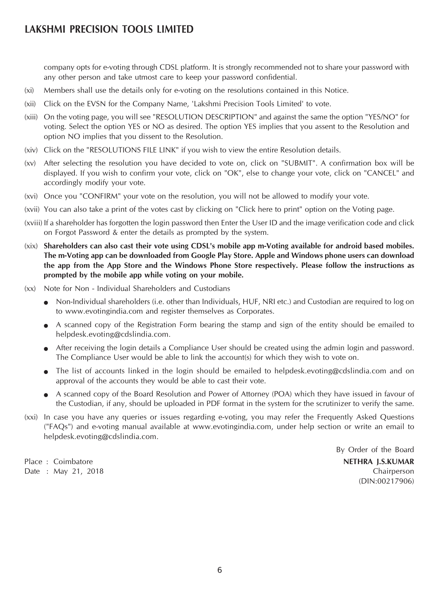# LAKSHMI PRECISION TOOLS LIMITED

company opts for e-voting through CDSL platform. It is strongly recommended not to share your password with any other person and take utmost care to keep your password confidential.

- (xi) Members shall use the details only for e-voting on the resolutions contained in this Notice.
- (xii) Click on the EVSN for the Company Name, 'Lakshmi Precision Tools Limited' to vote.
- (xiii) On the voting page, you will see "RESOLUTION DESCRIPTION" and against the same the option "YES/NO" for voting. Select the option YES or NO as desired. The option YES implies that you assent to the Resolution and option NO implies that you dissent to the Resolution.
- (xiv) Click on the "RESOLUTIONS FILE LINK" if you wish to view the entire Resolution details.
- (xv) After selecting the resolution you have decided to vote on, click on "SUBMIT". A confirmation box will be displayed. If you wish to confirm your vote, click on "OK", else to change your vote, click on "CANCEL" and accordingly modify your vote.
- (xvi) Once you "CONFIRM" your vote on the resolution, you will not be allowed to modify your vote.
- (xvii) You can also take a print of the votes cast by clicking on "Click here to print" option on the Voting page.
- (xviii) If a shareholder has forgotten the login password then Enter the User ID and the image verification code and click on Forgot Password & enter the details as prompted by the system.
- (xix) Shareholders can also cast their vote using CDSL's mobile app m-Voting available for android based mobiles. The m-Voting app can be downloaded from Google Play Store. Apple and Windows phone users can download the app from the App Store and the Windows Phone Store respectively. Please follow the instructions as prompted by the mobile app while voting on your mobile.
- (xx) Note for Non Individual Shareholders and Custodians
	- Non-Individual shareholders (i.e. other than Individuals, HUF, NRI etc.) and Custodian are required to log on to www.evotingindia.com and register themselves as Corporates.
	- A scanned copy of the Registration Form bearing the stamp and sign of the entity should be emailed to helpdesk.evoting@cdslindia.com.
	- After receiving the login details a Compliance User should be created using the admin login and password. The Compliance User would be able to link the account(s) for which they wish to vote on.
	- The list of accounts linked in the login should be emailed to helpdesk.evoting@cdslindia.com and on approval of the accounts they would be able to cast their vote.
	- A scanned copy of the Board Resolution and Power of Attorney (POA) which they have issued in favour of the Custodian, if any, should be uploaded in PDF format in the system for the scrutinizer to verify the same.
- (xxi) In case you have any queries or issues regarding e-voting, you may refer the Frequently Asked Questions ("FAQs") and e-voting manual available at www.evotingindia.com, under help section or write an email to helpdesk.evoting@cdslindia.com.

Place : Coimbatore **NETHRA I.S.KUMAR** Date : May 21, 2018 Chairperson

By Order of the Board (DIN:00217906)